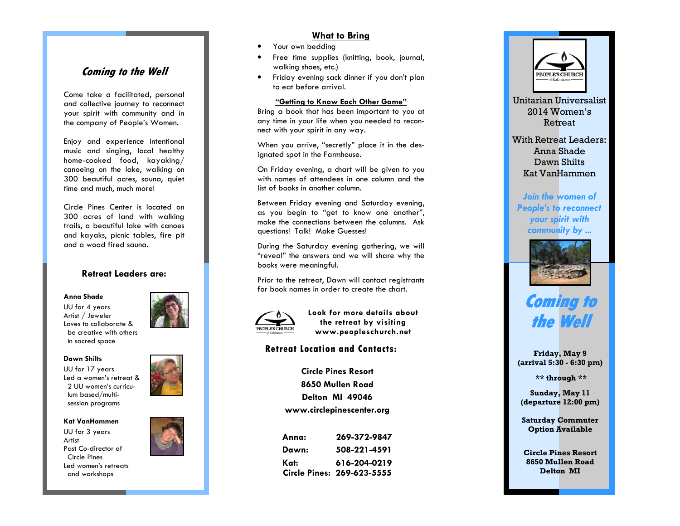# **Coming to the Well**

Come take a facilitated, personal and collective journey to reconnect your spirit with community and in the company of People's Women.

Enjoy and experience intentional music and singing, local healthy home-cooked food, kayaking/ canoeing on the lake, walking on 300 beautiful acres, sauna, quiet time and much, much more!

Circle Pines Center is located on 300 acres of land with walking trails, a beautiful lake with canoes and kayaks, picnic tables, fire pit and a wood fired sauna.

## **Retreat Leaders are:**

#### **Anna Shade**

UU for 4 years Artist / Jeweler Loves to collaborate & be creative with others in sacred space

#### **Dawn Shilts**

UU for 17 years Led a women's retreat & 2 UU women's curriculum based/multisession programs

#### **Kat VanHammen**

UU for 3 years Artist Past Co-director of Circle Pines Led women's retreats and workshops



# **What to Bring**

- •Your own bedding
- • Free time supplies (knitting, book, journal, walking shoes, etc.)
- Friday evening sack dinner if you don't plan •to eat before arrival.

#### **"Getting to Know Each Other Game"**

 Bring a book that has been important to you at any time in your life when you needed to reconnect with your spirit in any way.

When you arrive, "secretly" place it in the designated spot in the Farmhouse.

On Friday evening, a chart will be given to you with names of attendees in one column and the list of books in another column.

Between Friday evening and Saturday evening, as you begin to "get to know one another", make the connections between the columns. Ask questions! Talk! Make Guesses!

During the Saturday evening gathering, we will "reveal" the answers and we will share why the books were meaningful.

Prior to the retreat, Dawn will contact registrantsfor book names in order to create the chart.



**Look for more details about the retreat by visiting www.peopleschurch.net** 

### **Retreat Location and Contacts:**

**Circle Pines Resort 8650 Mullen Road Delton MI 49046 www.circlepinescenter.org** 

| Anna: | 269-372-9847               |
|-------|----------------------------|
| Dawn: | 508-221-4591               |
| Kat:  | 616-204-0219               |
|       | Circle Pines: 269-623-5555 |



With Retreat Leaders: Anna Shade Dawn Shilts Kat VanHammen

*Join the women of People's to reconnect your spirit with community by ...*



# **Coming to the Well Well**

**Friday, May 9 (arrival 5:30 - 6:30 pm)** 

 **\*\* through \*\*** 

**Sunday, May 11 (departure 12:00 pm)** 

**Saturday Commuter Option Available** 

**Circle Pines Resort 8650 Mullen Road Delton MI**